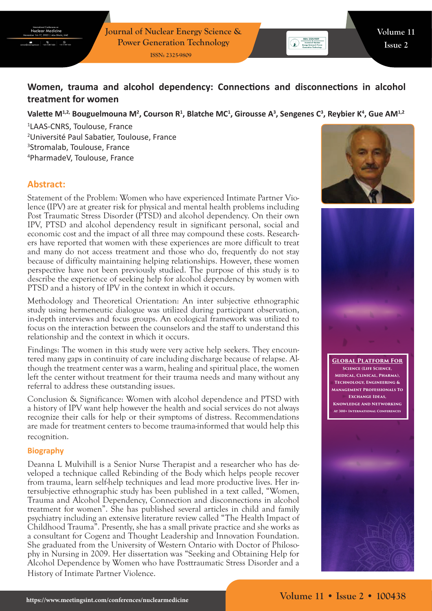# **Women, trauma and alcohol dependency: Connections and disconnections in alcohol treatment for women**

## Valette M<sup>1,2,</sup> Bouguelmouna M<sup>2</sup>, Courson R<sup>1</sup>, Blatche MC<sup>1</sup>, Girousse A<sup>3</sup>, Sengenes C<sup>3</sup>, Reybier K<sup>4</sup>, Gue AM<sup>1,2</sup>

 LAAS-CNRS, Toulouse, France Université Paul Sabatier, Toulouse, France Stromalab, Toulouse, France PharmadeV, Toulouse, France

# **Abstract:**

Statement of the Problem: Women who have experienced Intimate Partner Violence (IPV) are at greater risk for physical and mental health problems including Post Traumatic Stress Disorder (PTSD) and alcohol dependency. On their own IPV, PTSD and alcohol dependency result in significant personal, social and economic cost and the impact of all three may compound these costs. Researchers have reported that women with these experiences are more difficult to treat and many do not access treatment and those who do, frequently do not stay because of difficulty maintaining helping relationships. However, these women perspective have not been previously studied. The purpose of this study is to describe the experience of seeking help for alcohol dependency by women with PTSD and a history of IPV in the context in which it occurs.

Methodology and Theoretical Orientation: An inter subjective ethnographic study using hermeneutic dialogue was utilized during participant observation, in-depth interviews and focus groups. An ecological framework was utilized to focus on the interaction between the counselors and the staff to understand this relationship and the context in which it occurs.

Findings: The women in this study were very active help seekers. They encountered many gaps in continuity of care including discharge because of relapse. Although the treatment center was a warm, healing and spiritual place, the women left the center without treatment for their trauma needs and many without any referral to address these outstanding issues.

Conclusion & Significance: Women with alcohol dependence and PTSD with a history of IPV want help however the health and social services do not always recognize their calls for help or their symptoms of distress. Recommendations are made for treatment centers to become trauma-informed that would help this recognition.

#### **Biography**

Deanna L Mulvihill is a Senior Nurse Therapist and a researcher who has developed a technique called Rebinding of the Body which helps people recover from trauma, learn self-help techniques and lead more productive lives. Her intersubjective ethnographic study has been published in a text called, "Women, Trauma and Alcohol Dependency, Connection and disconnections in alcohol treatment for women". She has published several articles in child and family psychiatry including an extensive literature review called "The Health Impact of Childhood Trauma". Presently, she has a small private practice and she works as a consultant for Cogenz and Thought Leadership and Innovation Foundation. She graduated from the University of Western Ontario with Doctor of Philosophy in Nursing in 2009. Her dissertation was "Seeking and Obtaining Help for Alcohol Dependence by Women who have Posttraumatic Stress Disorder and a History of Intimate Partner Violence.



**SSN: 2325-9809**<br> **Example of Nuclear**<br> **Energy Science & Power**